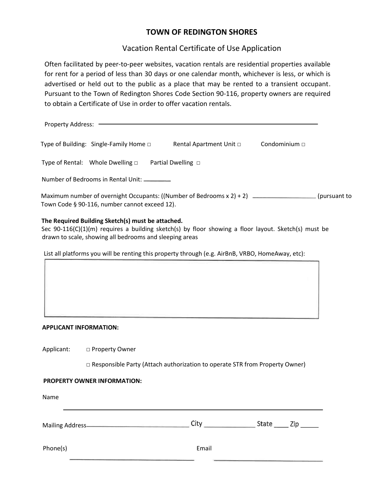# **TOWN OF REDINGTON SHORES**

# Vacation Rental Certificate of Use Application

Often facilitated by peer-to-peer websites, vacation rentals are residential properties available for rent for a period of less than 30 days or one calendar month, whichever is less, or which is advertised or held out to the public as a place that may be rented to a transient occupant. Pursuant to the Town of Redington Shores Code Section 90-116, property owners are required to obtain a Certificate of Use in order to offer vacation rentals.

| Property Address: ————                                                                                                                                |                                                   |                                                                                                        |                    |  |
|-------------------------------------------------------------------------------------------------------------------------------------------------------|---------------------------------------------------|--------------------------------------------------------------------------------------------------------|--------------------|--|
|                                                                                                                                                       | Type of Building: Single-Family Home $\Box$       | Rental Apartment Unit $\Box$                                                                           | Condominium $\Box$ |  |
| Type of Rental: Whole Dwelling $\Box$ Partial Dwelling $\Box$                                                                                         |                                                   |                                                                                                        |                    |  |
| Number of Bedrooms in Rental Unit: ________                                                                                                           |                                                   |                                                                                                        |                    |  |
| Maximum number of overnight Occupants: ((Number of Bedrooms x 2) + 2) __________________(pursuant to<br>Town Code § 90-116, number cannot exceed 12). |                                                   |                                                                                                        |                    |  |
|                                                                                                                                                       | The Required Building Sketch(s) must be attached. | Sec $90-116(C)(1)(m)$ requires a building sketch(s) by floor showing a floor layout. Sketch(s) must be |                    |  |

List all platforms you will be renting this property through (e.g. AirBnB, VRBO, HomeAway, etc):

# **APPLICANT INFORMATION:**

| Applicant: | □ Property Owner |
|------------|------------------|
|            |                  |

drawn to scale, showing all bedrooms and sleeping areas

□ Responsible Party (Attach authorization to operate STR from Property Owner)

## **PROPERTY OWNER INFORMATION:**

| Name                    |       |       |     |
|-------------------------|-------|-------|-----|
| <b>Mailing Address-</b> | City  | State | Zip |
| Phone(s)                | Email |       |     |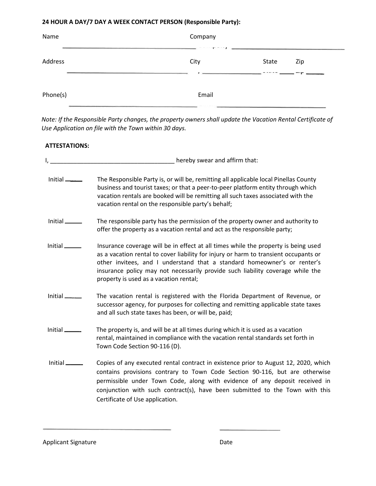# **24 HOUR A DAY/7 DAY A WEEK CONTACT PERSON (Responsible Party):**

| Name     | Company<br>$\mathbf{F}$ and $\mathbf{F}$ |                    |     |
|----------|------------------------------------------|--------------------|-----|
| Address  | City                                     | State<br>$- - - -$ | Zip |
| Phone(s) | Email                                    |                    |     |

*Note: If the Responsible Party changes, the property owners shall update the Vacation Rental Certificate of Use Application on file with the Town within 30 days.*

# **ATTESTATIONS:**

|                             | hereby swear and affirm that:                                                                                                                                                                                                                                                                                                                                                      |
|-----------------------------|------------------------------------------------------------------------------------------------------------------------------------------------------------------------------------------------------------------------------------------------------------------------------------------------------------------------------------------------------------------------------------|
| $Initial$ <sub>_____</sub>  | The Responsible Party is, or will be, remitting all applicable local Pinellas County<br>business and tourist taxes; or that a peer-to-peer platform entity through which<br>vacation rentals are booked will be remitting all such taxes associated with the<br>vacation rental on the responsible party's behalf;                                                                 |
| Initial                     | The responsible party has the permission of the property owner and authority to<br>offer the property as a vacation rental and act as the responsible party;                                                                                                                                                                                                                       |
| Initial                     | Insurance coverage will be in effect at all times while the property is being used<br>as a vacation rental to cover liability for injury or harm to transient occupants or<br>other invitees, and I understand that a standard homeowner's or renter's<br>insurance policy may not necessarily provide such liability coverage while the<br>property is used as a vacation rental; |
| Initial                     | The vacation rental is registered with the Florida Department of Revenue, or<br>successor agency, for purposes for collecting and remitting applicable state taxes<br>and all such state taxes has been, or will be, paid;                                                                                                                                                         |
| $Initial$ <sub>______</sub> | The property is, and will be at all times during which it is used as a vacation<br>rental, maintained in compliance with the vacation rental standards set forth in<br>Town Code Section 90-116 (D).                                                                                                                                                                               |
| Initial $\_\_\_\_\_\$       | Copies of any executed rental contract in existence prior to August 12, 2020, which<br>contains provisions contrary to Town Code Section 90-116, but are otherwise<br>permissible under Town Code, along with evidence of any deposit received in<br>conjunction with such contract(s), have been submitted to the Town with this<br>Certificate of Use application.               |

Applicant Signature **Date** Date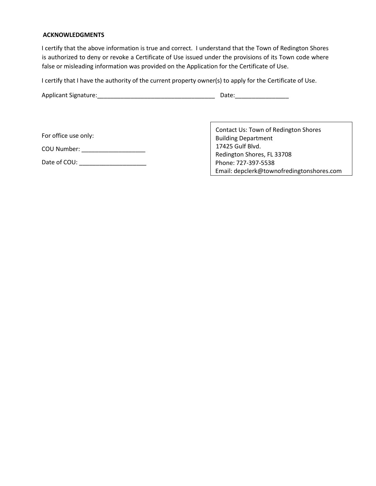#### **ACKNOWLEDGMENTS**

I certify that the above information is true and correct. I understand that the Town of Redington Shores is authorized to deny or revoke a Certificate of Use issued under the provisions of its Town code where false or misleading information was provided on the Application for the Certificate of Use.

I certify that I have the authority of the current property owner(s) to apply for the Certificate of Use.

| Applicant Signature: | Date: |
|----------------------|-------|
|                      |       |

For office use only:

COU Number: \_\_\_\_\_\_\_\_\_\_\_\_\_\_\_\_\_\_\_

Date of COU: \_\_\_\_\_\_\_\_\_\_\_\_\_\_\_\_\_\_\_\_

Contact Us: Town of Redington Shores Building Department 17425 Gulf Blvd. Redington Shores, FL 33708 Phone: 727-397-5538 Email: depclerk@townofredingtonshores.com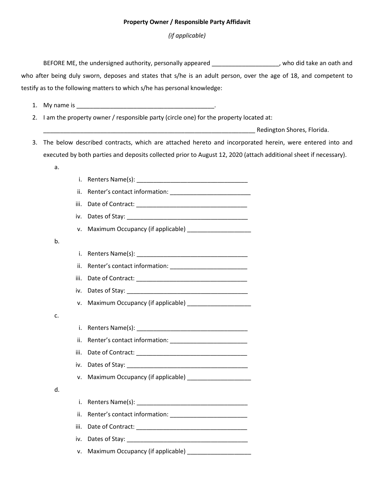## **Property Owner / Responsible Party Affidavit**

*(if applicable)*

BEFORE ME, the undersigned authority, personally appeared \_\_\_\_\_\_\_\_\_\_\_\_\_\_\_\_\_\_\_\_, who did take an oath and who after being duly sworn, deposes and states that s/he is an adult person, over the age of 18, and competent to testify as to the following matters to which s/he has personal knowledge:

1. My name is the contract of the contract of the contract of the contract of the contract of the contract of the contract of the contract of the contract of the contract of the contract of the contract of the contract of

a.

b.

c.

d.

2. I am the property owner / responsible party (circle one) for the property located at:

\_\_\_\_\_\_\_\_\_\_\_\_\_\_\_\_\_\_\_\_\_\_\_\_\_\_\_\_\_\_\_\_\_\_\_\_\_\_\_\_\_\_\_\_\_\_\_\_\_\_\_\_\_\_\_\_\_\_\_\_\_\_\_ Redington Shores, Florida.

- 3. The below described contracts, which are attached hereto and incorporated herein, were entered into and executed by both parties and deposits collected prior to August 12, 2020 (attach additional sheet if necessary).
	- i. Renters Name(s): \_\_\_\_\_\_\_\_\_\_\_\_\_\_\_\_\_\_\_\_\_\_\_\_\_\_\_\_\_\_\_\_\_ ii. Renter's contact information: iii. Date of Contract: \_\_\_\_\_\_\_\_\_\_\_\_\_\_\_\_\_\_\_\_\_\_\_\_\_\_\_\_\_\_\_\_\_ iv. Dates of Stay: v. Maximum Occupancy (if applicable) i. Renters Name(s): ii. Renter's contact information: iii. Date of Contract: \_\_\_\_\_\_\_\_\_\_\_\_\_\_\_\_\_\_\_\_\_\_\_\_\_\_\_\_\_\_\_\_\_ iv. Dates of Stay: v. Maximum Occupancy (if applicable) i. Renters Name(s): ii. Renter's contact information: \_\_\_\_\_\_\_\_\_\_\_\_\_\_\_\_\_\_\_\_\_\_\_ iii. Date of Contract: \_\_\_\_\_\_\_\_\_\_\_\_\_\_\_\_\_\_\_\_\_\_\_\_\_\_\_\_\_\_\_\_\_ iv. Dates of Stay: v. Maximum Occupancy (if applicable) \_\_\_\_\_\_\_\_\_\_\_\_\_\_\_\_\_\_\_ i. Renters Name(s): \_\_\_\_\_\_\_\_\_\_\_\_\_\_\_\_\_\_\_\_\_\_\_\_\_\_\_\_\_\_\_\_\_ ii. Renter's contact information: \_\_\_\_\_\_\_\_\_\_\_\_\_\_\_\_\_\_\_\_\_\_\_ iii. Date of Contract: \_\_\_\_\_\_\_\_\_\_\_\_\_\_\_\_\_\_\_\_\_\_\_\_\_\_\_\_\_\_\_\_\_ iv. Dates of Stay: \_\_\_\_\_\_\_\_\_\_\_\_\_\_\_\_\_\_\_\_\_\_\_\_\_\_\_\_\_\_\_\_\_\_\_\_ v. Maximum Occupancy (if applicable)